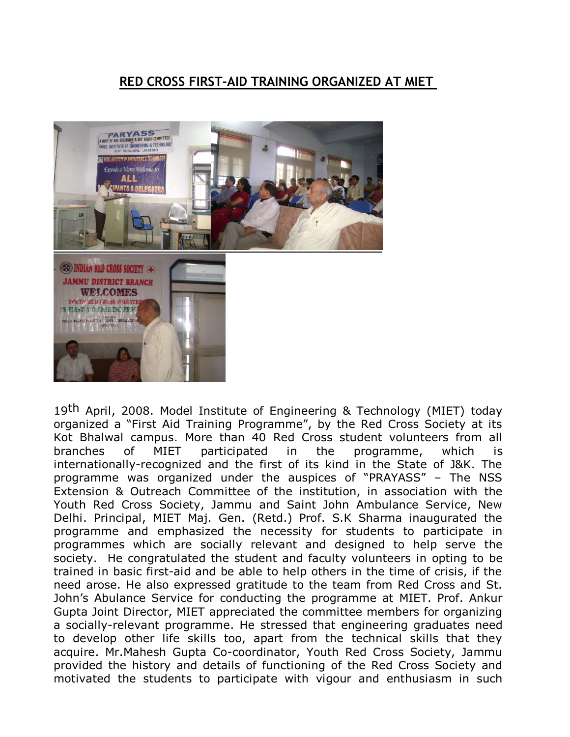## **RED CROSS FIRST-AID TRAINING ORGANIZED AT MIET**



19th April, 2008. Model Institute of Engineering & Technology (MIET) today organized a "First Aid Training Programme", by the Red Cross Society at its Kot Bhalwal campus. More than 40 Red Cross student volunteers from all branches of MIET participated in the programme, which is internationally-recognized and the first of its kind in the State of J&K. The programme was organized under the auspices of "PRAYASS" – The NSS Extension & Outreach Committee of the institution, in association with the Youth Red Cross Society, Jammu and Saint John Ambulance Service, New Delhi. Principal, MIET Maj. Gen. (Retd.) Prof. S.K Sharma inaugurated the programme and emphasized the necessity for students to participate in programmes which are socially relevant and designed to help serve the society. He congratulated the student and faculty volunteers in opting to be trained in basic first-aid and be able to help others in the time of crisis, if the need arose. He also expressed gratitude to the team from Red Cross and St. John's Abulance Service for conducting the programme at MIET. Prof. Ankur Gupta Joint Director, MIET appreciated the committee members for organizing a socially-relevant programme. He stressed that engineering graduates need to develop other life skills too, apart from the technical skills that they acquire. Mr.Mahesh Gupta Co-coordinator, Youth Red Cross Society, Jammu provided the history and details of functioning of the Red Cross Society and motivated the students to participate with vigour and enthusiasm in such